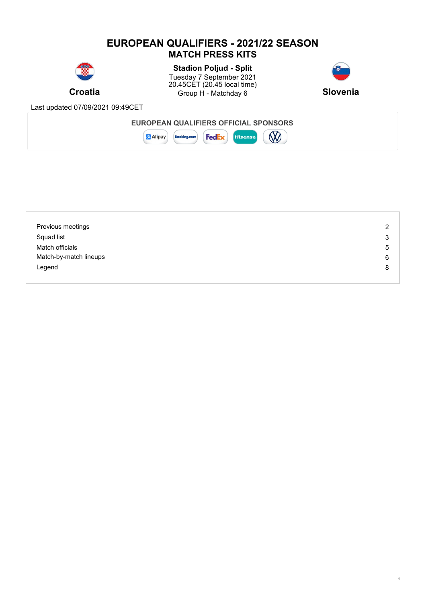### **EUROPEAN QUALIFIERS - 2021/22 SEASON MATCH PRESS KITS**



**Croatia** Group H - Matchday 6 Slovenia **Stadion Poljud - Split** Tuesday 7 September 2021 20.45CET (20.45 local time)



1

Last updated 07/09/2021 09:49CET



| Previous meetings      | っ |
|------------------------|---|
| Squad list             | 3 |
| Match officials        | 5 |
| Match-by-match lineups | 6 |
| Legend                 | 8 |
|                        |   |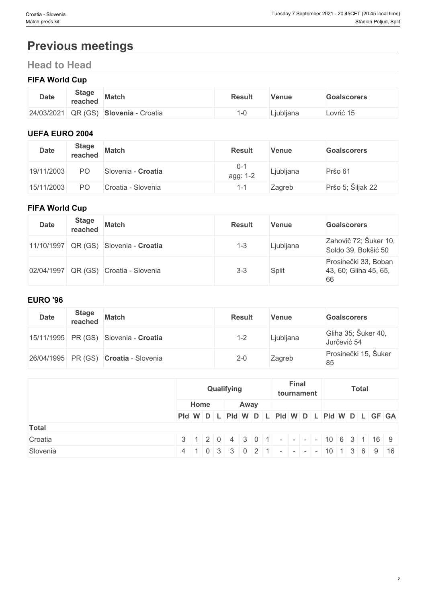# **Previous meetings**

# **Head to Head**

### **FIFA World Cup**

| <b>Date</b>            | <b>Stage</b><br>reached | <b>Match</b>          | <b>Result</b> | Venue     | <b>Goalscorers</b> |
|------------------------|-------------------------|-----------------------|---------------|-----------|--------------------|
| $ 24/03/2021 $ QR (GS) |                         | Croatia<br>Slovenia - | ∹∪            | Ljubljana | _ovrić 15          |

### **UEFA EURO 2004**

| <b>Date</b> | <b>Stage</b><br>reached | <b>Match</b>       | <b>Result</b>       | Venue     | <b>Goalscorers</b> |
|-------------|-------------------------|--------------------|---------------------|-----------|--------------------|
| 19/11/2003  | PΟ                      | Slovenia - Croatia | $0 - 1$<br>agg: 1-2 | Ljubljana | Pršo 61            |
| 15/11/2003  | PО                      | Croatia - Slovenia |                     | Zagreb    | Pršo 5; Šiljak 22  |

#### **FIFA World Cup**

| <b>Date</b> | <b>Stage</b><br>reached | <b>Match</b>               | <b>Result</b> | Venue     | <b>Goalscorers</b>                                  |
|-------------|-------------------------|----------------------------|---------------|-----------|-----------------------------------------------------|
| 11/10/1997  |                         | QR (GS) Slovenia - Croatia | $1 - 3$       | Ljubljana | Zahovič 72; Šuker 10,<br>Soldo 39, Bokšić 50        |
| 02/04/1997  |                         | QR (GS) Croatia - Slovenia | $3 - 3$       | Split     | Prosinečki 33, Boban<br>43, 60; Gliha 45, 65,<br>66 |

#### **EURO '96**

| <b>Date</b> | <b>Stage</b><br>reached | <b>Match</b>                          | <b>Result</b> | <b>Venue</b> | <b>Goalscorers</b>                 |
|-------------|-------------------------|---------------------------------------|---------------|--------------|------------------------------------|
|             |                         | 15/11/1995 PR (GS) Slovenia - Croatia | $1 - 2$       | Ljubljana    | Gliha 35; Šuker 40,<br>Jurčević 54 |
|             |                         | 26/04/1995 PR (GS) Croatia - Slovenia | $2 - 0$       | Zagreb       | Prosinečki 15, Šuker<br>85         |

|              | Qualifying |      | <b>Final</b><br>tournament | <b>Total</b>                                                            |  |  |  |  |  |
|--------------|------------|------|----------------------------|-------------------------------------------------------------------------|--|--|--|--|--|
|              | Home       | Away |                            |                                                                         |  |  |  |  |  |
|              |            |      |                            | PId W D L PId W D L PId W D L PId W D L PId W D L GF GA                 |  |  |  |  |  |
| <b>Total</b> |            |      |                            |                                                                         |  |  |  |  |  |
| Croatia      |            |      |                            | $3   1   2   0   4   3   0   1   -   -   -   10   6   3   1   16   9$   |  |  |  |  |  |
| Slovenia     |            |      |                            | $4   1   0   3   3   0   2   1   -   -   -   10   1   3   6   9   16  $ |  |  |  |  |  |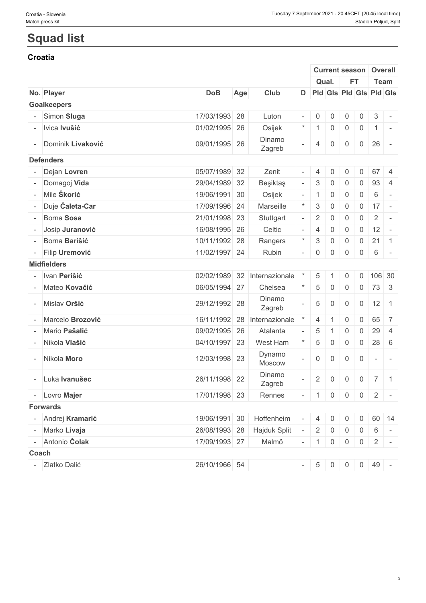# **Squad list**

#### **Croatia**

|                     |               |     |                            |                          |                |                | <b>Current season</b> |                | Overall                                |  |
|---------------------|---------------|-----|----------------------------|--------------------------|----------------|----------------|-----------------------|----------------|----------------------------------------|--|
|                     |               |     |                            |                          |                | Qual.          | FT.                   |                | Team                                   |  |
| No. Player          | <b>DoB</b>    | Age | Club                       |                          |                |                |                       |                | D   Pid   Gis   Pid   Gis   Pid   Gis  |  |
| <b>Goalkeepers</b>  |               |     |                            |                          |                |                |                       |                |                                        |  |
| - Simon Sluga       | 17/03/1993 28 |     | Luton                      |                          | $-$ 0          | $\mathbf 0$    | $\mathbf 0$           | $\overline{0}$ | $\mathbf{3}$<br>$\sim$                 |  |
| - Ivica Ivušić      | 01/02/1995 26 |     | Osijek                     |                          |                | $\overline{0}$ | $\overline{0}$        | $\overline{0}$ | $1$ -                                  |  |
| - Dominik Livaković | 09/01/1995 26 |     | Dinamo<br>Zagreb           |                          | 4              | 0              | $\mathbf 0$           | $\overline{0}$ | 26<br>$\sim$                           |  |
| <b>Defenders</b>    |               |     |                            |                          |                |                |                       |                |                                        |  |
| - Dejan Lovren      | 05/07/1989 32 |     | Zenit                      | $\overline{\phantom{a}}$ | $\vert$ 4      | 0              | 0                     | $\overline{0}$ | 67 4                                   |  |
| - Domagoj Vida      | 29/04/1989 32 |     | Beşiktaş                   | $\overline{\phantom{a}}$ | 3              | $\mathbf 0$    | 0                     | $\overline{0}$ | 93<br>-4                               |  |
| - Mile Škorić       | 19/06/1991 30 |     | Osijek                     | $\overline{\phantom{a}}$ | $\overline{1}$ | $\mathbf 0$    | $\mathbf 0$           | $\mathsf{O}$   | 6<br>$\sim$                            |  |
|                     |               |     |                            |                          |                |                |                       |                |                                        |  |
| - Duje Ćaleta-Car   | 17/09/1996 24 |     | Marseille                  |                          | 3              | $\mathbf 0$    | $\overline{0}$        | $\overline{0}$ | $17 -$                                 |  |
| - Borna Sosa        | 21/01/1998 23 |     | Stuttgart                  |                          | 2              | $\mathbf 0$    | 0                     | 0              | $\overline{2}$<br>$\sim$ $-$           |  |
| - Josip Juranović   | 16/08/1995 26 |     | Celtic                     |                          | $\overline{4}$ | $\mathbf 0$    | 0                     | $\overline{0}$ | 12<br>$\sim$                           |  |
| - Borna Barišić     | 10/11/1992 28 |     | Rangers                    |                          | 3              | 0              | $\overline{0}$        | $0 \mid 21$    | $\vert$ 1                              |  |
| - Filip Uremović    | 11/02/1997 24 |     | Rubin                      | $\overline{\phantom{0}}$ |                | $\overline{0}$ | $\mathbf 0$           | $\overline{0}$ | 6<br>$\sim$                            |  |
| <b>Midfielders</b>  |               |     |                            |                          |                |                |                       |                |                                        |  |
| - Ivan Perišić      | 02/02/1989 32 |     | Internazionale             |                          | 5              |                | 0                     | $\mathbf 0$    | 106 30                                 |  |
| - Mateo Kovačić     | 06/05/1994 27 |     | Chelsea                    |                          | $\overline{5}$ | 0              | $\overline{0}$        |                | $0 \mid 73 \mid 3$                     |  |
| - Mislav Oršić      | 29/12/1992 28 |     | Dinamo<br>Zagreb           |                          | 5              | $\overline{0}$ | $\mathbf 0$           | $\overline{0}$ | $12 \mid 1$                            |  |
| - Marcelo Brozović  | 16/11/1992 28 |     | Internazionale             |                          | 4              |                | $\mathbf 0$           | 0              | 65<br>$\overline{7}$                   |  |
| - Mario Pašalić     | 09/02/1995 26 |     | Atalanta                   |                          | 5              |                | 0                     | 0              | 29<br>$\overline{4}$                   |  |
| - Nikola Vlašić     | 04/10/1997 23 |     | West Ham                   |                          | 5              | 0              | $\overline{0}$        | $\overline{0}$ | $28 \quad 6$                           |  |
| - Nikola Moro       | 12/03/1998 23 |     | Dynamo<br>Moscow           |                          | $\overline{0}$ | 0              | $\mathbf 0$           | $\overline{0}$ | $\overline{\phantom{a}}$<br>$\sim$ $-$ |  |
| - Luka Ivanušec     | 26/11/1998 22 |     | Dinamo<br>Zagreb           |                          | $\overline{2}$ | $\mathbf 0$    | $\overline{0}$        | $\overline{0}$ | $7 \mid 1$                             |  |
| - Lovro Majer       | 17/01/1998 23 |     | Rennes                     |                          |                |                |                       |                | $-$ 10002 -                            |  |
| <b>Forwards</b>     |               |     |                            |                          |                |                |                       |                |                                        |  |
| - Andrej Kramarić   | 19/06/1991 30 |     | Hoffenheim                 | $\sim$                   | $\overline{4}$ | $\overline{0}$ | $\overline{0}$        | $\overline{0}$ | 60 14                                  |  |
| - Marko Livaja      |               |     | 26/08/1993 28 Hajduk Split |                          | $2 \mid$       | $\overline{0}$ | $\overline{0}$        |                | $0 \quad 6 \quad -$                    |  |
| - Antonio Čolak     | 17/09/1993 27 |     | Malmö                      |                          |                | $-$ 1 0        | $\overline{0}$        |                | $0 \mid 2 \mid -$                      |  |
| Coach               |               |     |                            |                          |                |                |                       |                |                                        |  |
|                     |               |     |                            |                          |                |                |                       |                |                                        |  |
| - Zlatko Dalić      | 26/10/1966 54 |     |                            |                          |                |                |                       |                | $-$ 5 0 0 0 49 -                       |  |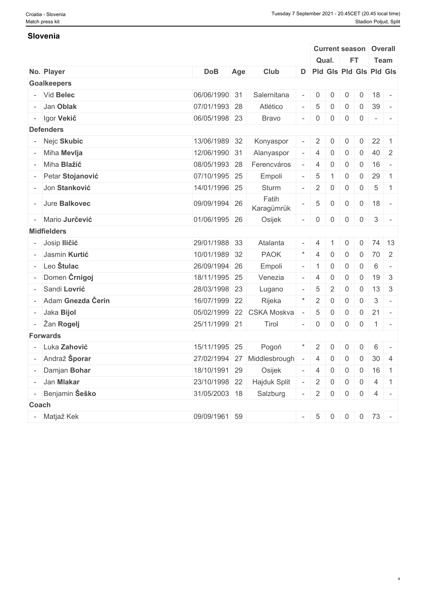#### **Slovenia**

|       |                                  |               |     |                             |                          |                |                |                |                             | <b>Current season Overall</b>                                           |                          |
|-------|----------------------------------|---------------|-----|-----------------------------|--------------------------|----------------|----------------|----------------|-----------------------------|-------------------------------------------------------------------------|--------------------------|
|       |                                  |               |     |                             |                          | Qual.          |                | FT.            |                             | <b>Team</b>                                                             |                          |
|       | No. Player                       | <b>DoB</b>    | Age | Club                        |                          |                |                |                |                             | D   Pld   Gls   Pld   Gls   Pld   Gls                                   |                          |
|       | <b>Goalkeepers</b>               |               |     |                             |                          |                |                |                |                             |                                                                         |                          |
|       | - Vid Belec                      | 06/06/1990 31 |     | Salernitana                 | $\overline{\phantom{a}}$ | $\overline{0}$ | $\mathbf 0$    | 0              | $\overline{0}$              | 18                                                                      | $\overline{\phantom{a}}$ |
|       | - Jan Oblak                      | 07/01/1993 28 |     | Atlético                    |                          | $\overline{5}$ | 0              | 0              | $\overline{0}$              | 39                                                                      | $\sim$                   |
|       | - Igor Vekič                     | 06/05/1998 23 |     | <b>Bravo</b>                |                          | $-$ 0          | $\overline{0}$ | $\overline{0}$ | $\overline{0}$              | $\mathcal{L}=\mathcal{L}^{\prime}$ , $\mathcal{L}=\mathcal{L}^{\prime}$ |                          |
|       | <b>Defenders</b>                 |               |     |                             |                          |                |                |                |                             |                                                                         |                          |
|       | - Nejc Skubic                    | 13/06/1989 32 |     | Konyaspor                   |                          | $\overline{2}$ | $\mathbf 0$    | 0              | $\mathsf{O}$                | 22                                                                      | $\overline{1}$           |
|       | - Miha Mevlja                    | 12/06/1990 31 |     | Alanyaspor                  |                          | $\overline{4}$ | $\overline{0}$ | 0              | $\overline{0}$              | 40 2                                                                    |                          |
|       | - Miha Blažič                    | 08/05/1993 28 |     | Ferencváros                 |                          | $\overline{4}$ | $\overline{0}$ | $\overline{0}$ | $0$ 16                      |                                                                         | $\sim$                   |
|       | - Petar Stojanović               | 07/10/1995 25 |     | Empoli                      |                          | $\overline{5}$ |                | $\overline{0}$ | $\overline{0}$              | 29                                                                      | $\overline{1}$           |
|       | - Jon Stanković                  | 14/01/1996 25 |     | Sturm                       |                          | $\overline{2}$ | $\overline{0}$ | $\overline{0}$ | $\overline{0}$              | $5\overline{)}$<br>$\vert$ 1                                            |                          |
|       | - Jure Balkovec                  | 09/09/1994 26 |     | Fatih<br>Karagümrük         |                          | 5              | $\overline{0}$ | $\overline{0}$ | $\overline{0}$              | 18                                                                      | $\sim$                   |
|       | - Mario Jurčević                 | 01/06/1995 26 |     | Osijek                      | $\overline{\phantom{a}}$ | $\overline{0}$ | $\overline{0}$ | $\overline{0}$ | $\overline{0}$              | $\mathbf{3}$<br>$\sim$                                                  |                          |
|       | <b>Midfielders</b>               |               |     |                             |                          |                |                |                |                             |                                                                         |                          |
|       | - Josip Iličić                   | 29/01/1988 33 |     | Atalanta                    |                          | $- 4$          |                | $\overline{0}$ | $\mathbf 0$                 | 74 13                                                                   |                          |
|       | - Jasmin Kurtić                  | 10/01/1989 32 |     | <b>PAOK</b>                 |                          |                | $\overline{0}$ | $\overline{0}$ | $\mathbb{C}^{\mathbb{C}}$ . | 70 2                                                                    |                          |
|       | - Leo $\check{\mathbf{S}}$ tulac | 26/09/1994 26 |     | Empoli                      |                          | $-11$          | $\mathbf 0$    | $\overline{0}$ | $\overline{0}$              | 6                                                                       | $\sim$                   |
|       | - Domen Črnigoj                  | 18/11/1995 25 |     | Venezia                     |                          | -4             | $\overline{0}$ | 0              | $\mathbf 0$                 | $19 \mid 3$                                                             |                          |
|       | - Sandi Lovrić                   | 28/03/1998 23 |     | Lugano                      | $\overline{\phantom{a}}$ | $\overline{5}$ | 2              | $\overline{0}$ | $\overline{0}$              | $13 \overline{\smash{\big)}\ 3}$                                        |                          |
|       | - Adam Gnezda Čerin              | 16/07/1999 22 |     | Rijeka                      | $\star$                  | 2              | $\mathbf 0$    | $\overline{0}$ | $\overline{0}$              | $\mathbf{3}$                                                            | $\vert -$                |
|       | - Jaka Bijol                     |               |     | 05/02/1999 22 CSKA Moskva   |                          | 5              | $\overline{0}$ | $\overline{0}$ | $\overline{0}$              | $21 -$                                                                  |                          |
|       | - Žan Rogelj                     | 25/11/1999 21 |     | Tirol                       |                          | $- 0$          | $\overline{0}$ | $\overline{0}$ |                             | $0 \mid 1 \mid -$                                                       |                          |
|       | <b>Forwards</b>                  |               |     |                             |                          |                |                |                |                             |                                                                         |                          |
|       | - Luka Zahović                   | 15/11/1995 25 |     | Pogoń                       | $^\ast$                  | $\overline{2}$ | $\overline{0}$ | 0              | $\mathbf 0$                 | $6\overline{6}$                                                         | $\sim$                   |
|       |                                  |               |     |                             |                          |                |                |                |                             |                                                                         |                          |
|       | - Andraž Šporar                  |               |     | 27/02/1994 27 Middlesbrough | $\overline{\phantom{a}}$ | $\overline{4}$ | $\mathbf 0$    | 0              | $\overline{0}$              | 30 <sup>°</sup>                                                         | $\overline{4}$           |
|       | - Damjan Bohar                   | 18/10/1991 29 |     | Osijek                      |                          | $- 4$          | $\overline{0}$ | $\overline{0}$ |                             | $0 \mid 16 \mid 1$                                                      |                          |
|       | - Jan Mlakar                     | 23/10/1998 22 |     | Hajduk Split                | $\overline{\phantom{a}}$ | $\overline{2}$ | $\overline{0}$ | $\overline{0}$ |                             | $0 \mid 4 \mid 1$                                                       |                          |
|       | - Benjamin Šeško                 | 31/05/2003 18 |     | Salzburg                    | $\sim$                   |                | $2 \mid 0$     | $\overline{0}$ |                             | $0 \mid 4 \mid -$                                                       |                          |
| Coach |                                  |               |     |                             |                          |                |                |                |                             |                                                                         |                          |
|       | - Matjaž Kek                     | 09/09/1961 59 |     |                             |                          |                |                |                |                             | $-$ 5 0 0 0 73 -                                                        |                          |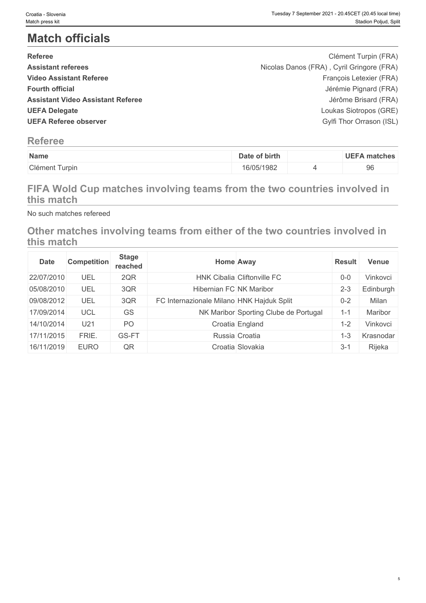# **Match officials**

| <b>Referee</b>                           | Clément Turpin (FRA)                      |  |
|------------------------------------------|-------------------------------------------|--|
| <b>Assistant referees</b>                | Nicolas Danos (FRA), Cyril Gringore (FRA) |  |
| <b>Video Assistant Referee</b>           | François Letexier (FRA)                   |  |
| <b>Fourth official</b>                   | Jérémie Pignard (FRA)                     |  |
| <b>Assistant Video Assistant Referee</b> | Jérôme Brisard (FRA)                      |  |
| <b>UEFA Delegate</b>                     | Loukas Siotropos (GRE)                    |  |
| <b>UEFA Referee observer</b>             | Gylfi Thor Orrason (ISL)                  |  |
|                                          |                                           |  |

# **Referee**

| Name                   | of birth<br>Date | UEFA<br>∖ matches |
|------------------------|------------------|-------------------|
| Clément 1<br>it Turpin | 16/05/1982       | 96                |

# **FIFA Wold Cup matches involving teams from the two countries involved in this match**

No such matches refereed

# **Other matches involving teams from either of the two countries involved in this match**

| <b>Date</b> | <b>Competition</b> | <b>Stage</b><br>reached |                                           | <b>Home Away</b>                      | <b>Result</b> | Venue          |
|-------------|--------------------|-------------------------|-------------------------------------------|---------------------------------------|---------------|----------------|
| 22/07/2010  | UEL                | 2QR                     |                                           | HNK Cibalia Cliftonville FC           | $0 - 0$       | Vinkovci       |
| 05/08/2010  | UEL                | 3QR                     | Hibernian FC NK Maribor                   |                                       | $2 - 3$       | Edinburgh      |
| 09/08/2012  | UEL                | 3QR                     | FC Internazionale Milano HNK Hajduk Split |                                       | $0 - 2$       | Milan          |
| 17/09/2014  | UCL                | GS                      |                                           | NK Maribor Sporting Clube de Portugal | 1-1           | <b>Maribor</b> |
| 14/10/2014  | U21                | P <sub>O</sub>          |                                           | Croatia England                       | 1-2           | Vinkovci       |
| 17/11/2015  | FRIE.              | GS-FT                   |                                           | Russia Croatia                        | 1-3           | Krasnodar      |
| 16/11/2019  | <b>EURO</b>        | QR                      |                                           | Croatia Slovakia                      | $3 - 1$       | Rijeka         |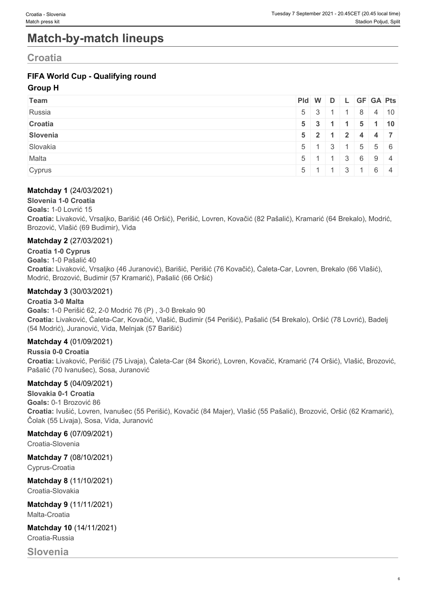# **Match-by-match lineups**

# **Croatia**

### **FIFA World Cup - Qualifying round**

#### **Group H**

| Team     | Pid W D L GF GA Pts |                                               |  |  |                                                     |
|----------|---------------------|-----------------------------------------------|--|--|-----------------------------------------------------|
| Russia   |                     |                                               |  |  | $5 \mid 3 \mid 1 \mid 1 \mid 8 \mid 4 \mid 10$      |
| Croatia  |                     |                                               |  |  | $5 \mid 3 \mid 1 \mid 1 \mid 5 \mid 1 \mid 10 \mid$ |
| Slovenia |                     | $5$ 2 1 2 4 4 7                               |  |  |                                                     |
| Slovakia |                     |                                               |  |  | $5 \mid 1 \mid 3 \mid 1 \mid 5 \mid 5 \mid 6$       |
| Malta    |                     | $5 \mid 1 \mid 1 \mid 3 \mid 6 \mid 9 \mid 4$ |  |  |                                                     |
| Cyprus   |                     | $5 \mid 1 \mid 1 \mid 3 \mid 1 \mid 6 \mid 4$ |  |  |                                                     |

#### **Matchday 1** (24/03/2021)

**Slovenia 1-0 Croatia**

**Goals:** 1-0 Lovrić 15

**Croatia:** Livaković, Vrsaljko, Barišić (46 Oršić), Perišić, Lovren, Kovačić (82 Pašalić), Kramarić (64 Brekalo), Modrić, Brozović, Vlašić (69 Budimir), Vida

#### **Matchday 2** (27/03/2021)

**Croatia 1-0 Cyprus Goals:** 1-0 Pašalić 40 **Croatia:** Livaković, Vrsaljko (46 Juranović), Barišić, Perišić (76 Kovačić), Ćaleta-Car, Lovren, Brekalo (66 Vlašić), Modrić, Brozović, Budimir (57 Kramarić), Pašalić (66 Oršić)

#### **Matchday 3** (30/03/2021)

#### **Croatia 3-0 Malta**

**Goals:** 1-0 Perišić 62, 2-0 Modrić 76 (P) , 3-0 Brekalo 90 **Croatia:** Livaković, Ćaleta-Car, Kovačić, Vlašić, Budimir (54 Perišić), Pašalić (54 Brekalo), Oršić (78 Lovrić), Badelj (54 Modrić), Juranović, Vida, Melnjak (57 Barišić)

#### **Matchday 4** (01/09/2021)

**Russia 0-0 Croatia Croatia:** Livaković, Perišić (75 Livaja), Ćaleta-Car (84 Škorić), Lovren, Kovačić, Kramarić (74 Oršić), Vlašić, Brozović, Pašalić (70 Ivanušec), Sosa, Juranović

#### **Matchday 5** (04/09/2021)

**Slovakia 0-1 Croatia Goals:** 0-1 Brozović 86 **Croatia:** Ivušić, Lovren, Ivanušec (55 Perišić), Kovačić (84 Majer), Vlašić (55 Pašalić), Brozović, Oršić (62 Kramarić), Čolak (55 Livaja), Sosa, Vida, Juranović

#### **Matchday 6** (07/09/2021)

Croatia-Slovenia

**Matchday 7** (08/10/2021) Cyprus-Croatia

**Matchday 8** (11/10/2021) Croatia-Slovakia

**Matchday 9** (11/11/2021) Malta-Croatia

**Matchday 10** (14/11/2021) Croatia-Russia

### **Slovenia**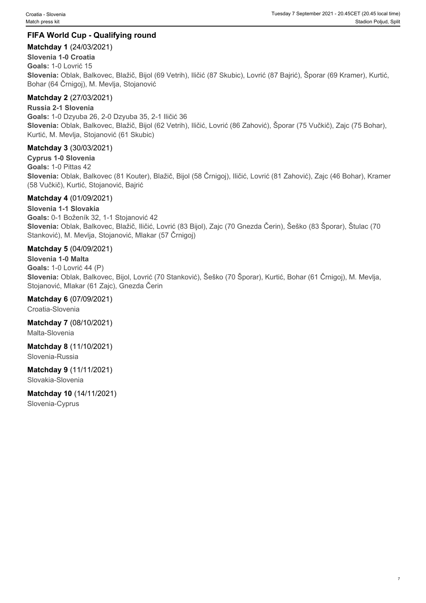#### **FIFA World Cup - Qualifying round**

#### **Matchday 1** (24/03/2021)

#### **Slovenia 1-0 Croatia**

**Goals:** 1-0 Lovrić 15 **Slovenia:** Oblak, Balkovec, Blažič, Bijol (69 Vetrih), Iličić (87 Skubic), Lovrić (87 Bajrić), Šporar (69 Kramer), Kurtić, Bohar (64 Črnigoj), M. Mevlja, Stojanović

#### **Matchday 2** (27/03/2021)

**Russia 2-1 Slovenia**

**Goals:** 1-0 Dzyuba 26, 2-0 Dzyuba 35, 2-1 Iličić 36 **Slovenia:** Oblak, Balkovec, Blažič, Bijol (62 Vetrih), Iličić, Lovrić (86 Zahović), Šporar (75 Vučkič), Zajc (75 Bohar), Kurtić, M. Mevlja, Stojanović (61 Skubic)

#### **Matchday 3** (30/03/2021)

**Cyprus 1-0 Slovenia Goals:** 1-0 Pittas 42 **Slovenia:** Oblak, Balkovec (81 Kouter), Blažič, Bijol (58 Črnigoj), Iličić, Lovrić (81 Zahović), Zajc (46 Bohar), Kramer (58 Vučkič), Kurtić, Stojanović, Bajrić

#### **Matchday 4** (01/09/2021)

#### **Slovenia 1-1 Slovakia**

**Goals:** 0-1 Boženík 32, 1-1 Stojanović 42 **Slovenia:** Oblak, Balkovec, Blažič, Iličić, Lovrić (83 Bijol), Zajc (70 Gnezda Čerin), Šeško (83 Šporar), Štulac (70 Stanković), M. Mevlja, Stojanović, Mlakar (57 Črnigoj)

#### **Matchday 5** (04/09/2021)

#### **Slovenia 1-0 Malta**

**Goals:** 1-0 Lovrić 44 (P) **Slovenia:** Oblak, Balkovec, Bijol, Lovrić (70 Stanković), Šeško (70 Šporar), Kurtić, Bohar (61 Črnigoj), M. Mevlja, Stojanović, Mlakar (61 Zajc), Gnezda Čerin

#### **Matchday 6** (07/09/2021)

Croatia-Slovenia

**Matchday 7** (08/10/2021) Malta-Slovenia

**Matchday 8** (11/10/2021)

Slovenia-Russia

### **Matchday 9** (11/11/2021)

Slovakia-Slovenia

**Matchday 10** (14/11/2021) Slovenia-Cyprus